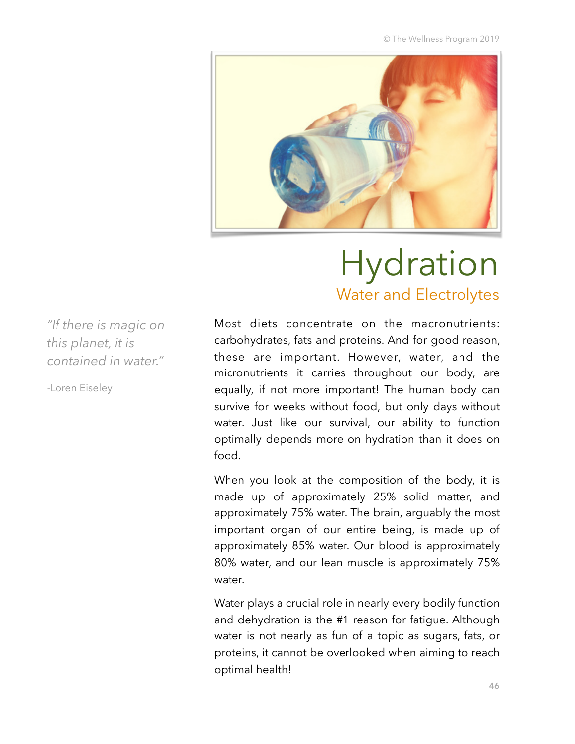© The Wellness Program 2019



# Hydration Water and Electrolytes

*"If there is magic on this planet, it is contained in water."* 

-Loren Eiseley

Most diets concentrate on the macronutrients: carbohydrates, fats and proteins. And for good reason, these are important. However, water, and the micronutrients it carries throughout our body, are equally, if not more important! The human body can survive for weeks without food, but only days without water. Just like our survival, our ability to function optimally depends more on hydration than it does on food.

When you look at the composition of the body, it is made up of approximately 25% solid matter, and approximately 75% water. The brain, arguably the most important organ of our entire being, is made up of approximately 85% water. Our blood is approximately 80% water, and our lean muscle is approximately 75% water.

Water plays a crucial role in nearly every bodily function and dehydration is the #1 reason for fatigue. Although water is not nearly as fun of a topic as sugars, fats, or proteins, it cannot be overlooked when aiming to reach optimal health!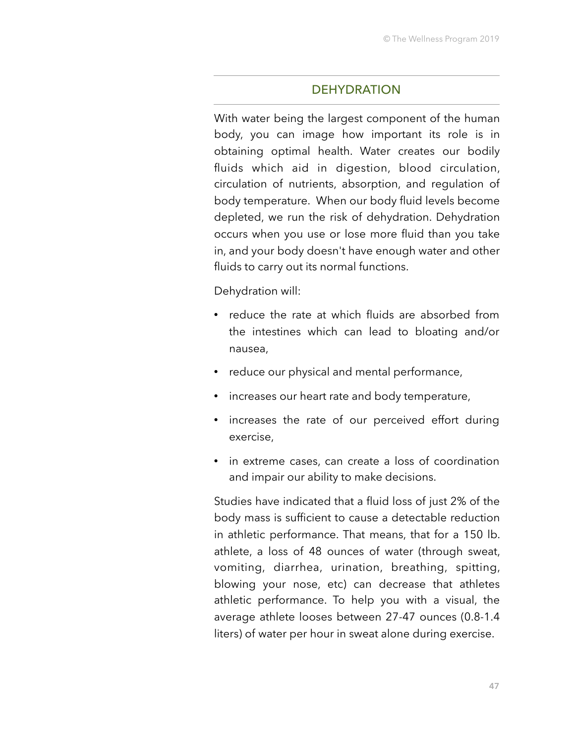### **DEHYDRATION**

With water being the largest component of the human body, you can image how important its role is in obtaining optimal health. Water creates our bodily fluids which aid in digestion, blood circulation, circulation of nutrients, absorption, and regulation of body temperature. When our body fluid levels become depleted, we run the risk of dehydration. Dehydration occurs when you use or lose more fluid than you take in, and your body doesn't have enough water and other fluids to carry out its normal functions.

Dehydration will:

- reduce the rate at which fluids are absorbed from the intestines which can lead to bloating and/or nausea,
- reduce our physical and mental performance,
- increases our heart rate and body temperature,
- increases the rate of our perceived effort during exercise,
- in extreme cases, can create a loss of coordination and impair our ability to make decisions.

Studies have indicated that a fluid loss of just 2% of the body mass is sufficient to cause a detectable reduction in athletic performance. That means, that for a 150 lb. athlete, a loss of 48 ounces of water (through sweat, vomiting, diarrhea, urination, breathing, spitting, blowing your nose, etc) can decrease that athletes athletic performance. To help you with a visual, the average athlete looses between 27-47 ounces (0.8-1.4 liters) of water per hour in sweat alone during exercise.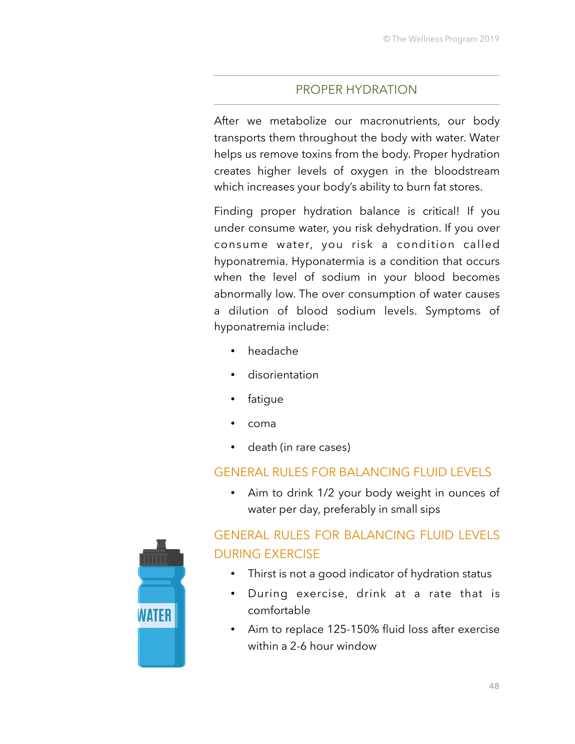# PROPER HYDRATION

After we metabolize our macronutrients, our body transports them throughout the body with water. Water helps us remove toxins from the body. Proper hydration creates higher levels of oxygen in the bloodstream which increases your body's ability to burn fat stores.

Finding proper hydration balance is critical! If you under consume water, you risk dehydration. If you over consume water, you risk a condition called hyponatremia. Hyponatermia is a condition that occurs when the level of sodium in your blood becomes abnormally low. The over consumption of water causes a dilution of blood sodium levels. Symptoms of hyponatremia include:

- headache
- disorientation
- fatigue
- coma
- death (in rare cases)

# GENERAL RULES FOR BALANCING FLUID LEVELS

• Aim to drink 1/2 your body weight in ounces of water per day, preferably in small sips

# GENERAL RULES FOR BALANCING FLUID LEVELS DURING EXERCISE • Thirst is not a good indicator of hydration status

- During exercise, drink at a rate that is comfortable
- Aim to replace 125-150% fluid loss after exercise within a 2-6 hour window

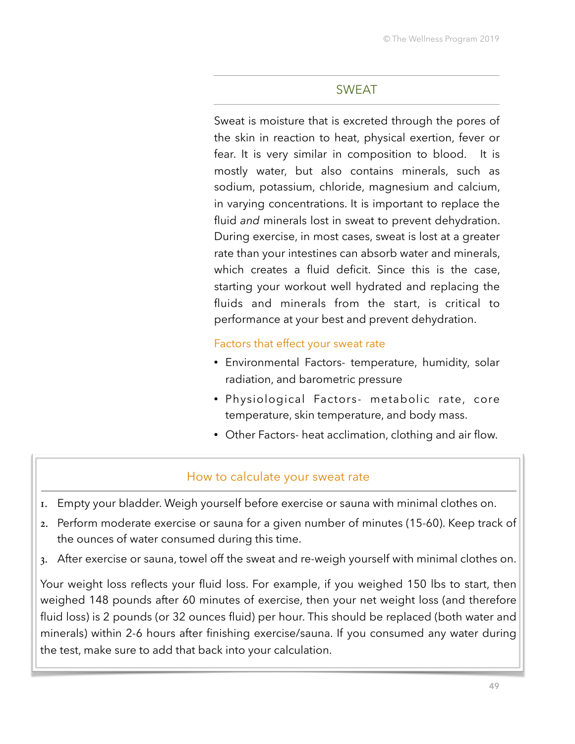## SWEAT

Sweat is moisture that is excreted through the pores of the skin in reaction to heat, physical exertion, fever or fear. It is very similar in composition to blood. It is mostly water, but also contains minerals, such as sodium, potassium, chloride, magnesium and calcium, in varying concentrations. It is important to replace the fluid *and* minerals lost in sweat to prevent dehydration. During exercise, in most cases, sweat is lost at a greater rate than your intestines can absorb water and minerals, which creates a fluid deficit. Since this is the case, starting your workout well hydrated and replacing the fluids and minerals from the start, is critical to performance at your best and prevent dehydration.

#### Factors that effect your sweat rate

- Environmental Factors- temperature, humidity, solar radiation, and barometric pressure
- Physiological Factors- metabolic rate, core temperature, skin temperature, and body mass.
- Other Factors- heat acclimation, clothing and air flow.

### How to calculate your sweat rate

- 1. Empty your bladder. Weigh yourself before exercise or sauna with minimal clothes on.
- 2. Perform moderate exercise or sauna for a given number of minutes (15-60). Keep track of the ounces of water consumed during this time.
- 3. After exercise or sauna, towel off the sweat and re-weigh yourself with minimal clothes on.

Your weight loss reflects your fluid loss. For example, if you weighed 150 lbs to start, then weighed 148 pounds after 60 minutes of exercise, then your net weight loss (and therefore fluid loss) is 2 pounds (or 32 ounces fluid) per hour. This should be replaced (both water and minerals) within 2-6 hours after finishing exercise/sauna. If you consumed any water during the test, make sure to add that back into your calculation.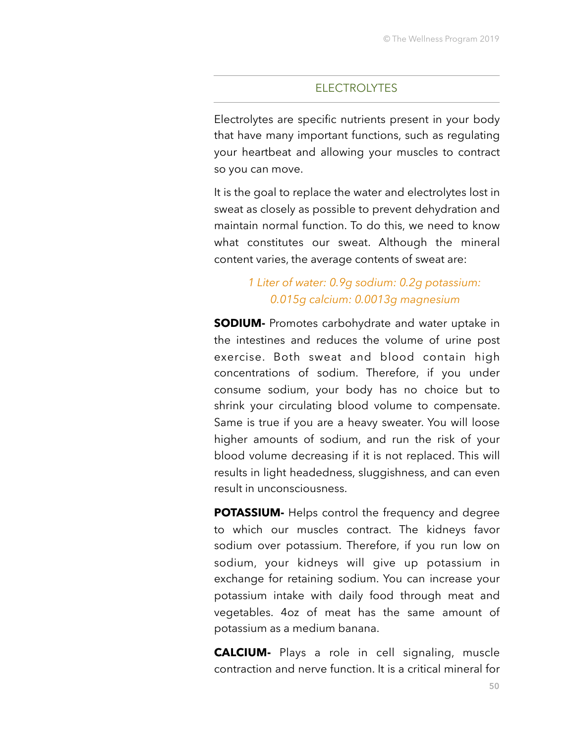#### **ELECTROLYTES**

Electrolytes are specific nutrients present in your body that have many important functions, such as regulating your heartbeat and allowing your muscles to contract so you can move.

It is the goal to replace the water and electrolytes lost in sweat as closely as possible to prevent dehydration and maintain normal function. To do this, we need to know what constitutes our sweat. Although the mineral content varies, the average contents of sweat are:

# *1 Liter of water: 0.9g sodium: 0.2g potassium: 0.015g calcium: 0.0013g magnesium*

**SODIUM-** Promotes carbohydrate and water uptake in the intestines and reduces the volume of urine post exercise. Both sweat and blood contain high concentrations of sodium. Therefore, if you under consume sodium, your body has no choice but to shrink your circulating blood volume to compensate. Same is true if you are a heavy sweater. You will loose higher amounts of sodium, and run the risk of your blood volume decreasing if it is not replaced. This will results in light headedness, sluggishness, and can even result in unconsciousness.

**POTASSIUM-** Helps control the frequency and degree to which our muscles contract. The kidneys favor sodium over potassium. Therefore, if you run low on sodium, your kidneys will give up potassium in exchange for retaining sodium. You can increase your potassium intake with daily food through meat and vegetables. 4oz of meat has the same amount of potassium as a medium banana.

**CALCIUM-** Plays a role in cell signaling, muscle contraction and nerve function. It is a critical mineral for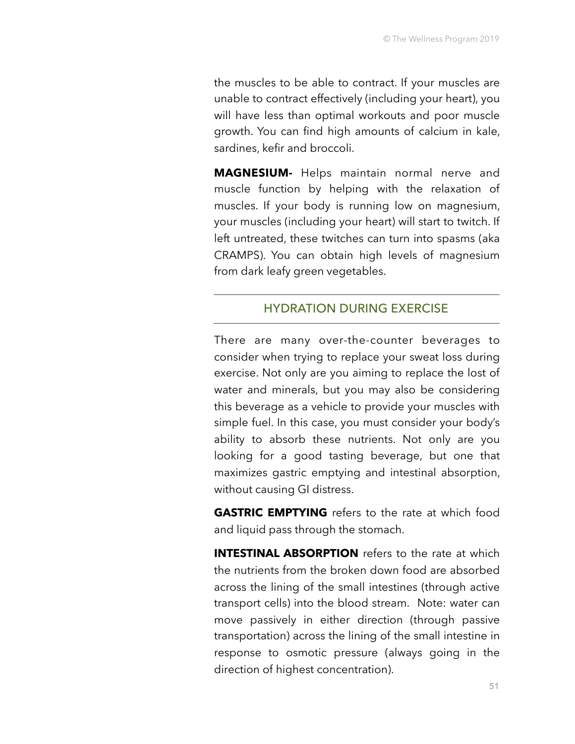the muscles to be able to contract. If your muscles are unable to contract effectively (including your heart), you will have less than optimal workouts and poor muscle growth. You can find high amounts of calcium in kale, sardines, kefir and broccoli.

**MAGNESIUM-** Helps maintain normal nerve and muscle function by helping with the relaxation of muscles. If your body is running low on magnesium, your muscles (including your heart) will start to twitch. If left untreated, these twitches can turn into spasms (aka CRAMPS). You can obtain high levels of magnesium from dark leafy green vegetables.

## HYDRATION DURING EXERCISE

There are many over-the-counter beverages to consider when trying to replace your sweat loss during exercise. Not only are you aiming to replace the lost of water and minerals, but you may also be considering this beverage as a vehicle to provide your muscles with simple fuel. In this case, you must consider your body's ability to absorb these nutrients. Not only are you looking for a good tasting beverage, but one that maximizes gastric emptying and intestinal absorption, without causing GI distress.

**GASTRIC EMPTYING** refers to the rate at which food and liquid pass through the stomach.

**INTESTINAL ABSORPTION** refers to the rate at which the nutrients from the broken down food are absorbed across the lining of the small intestines (through active transport cells) into the blood stream. Note: water can move passively in either direction (through passive transportation) across the lining of the small intestine in response to osmotic pressure (always going in the direction of highest concentration).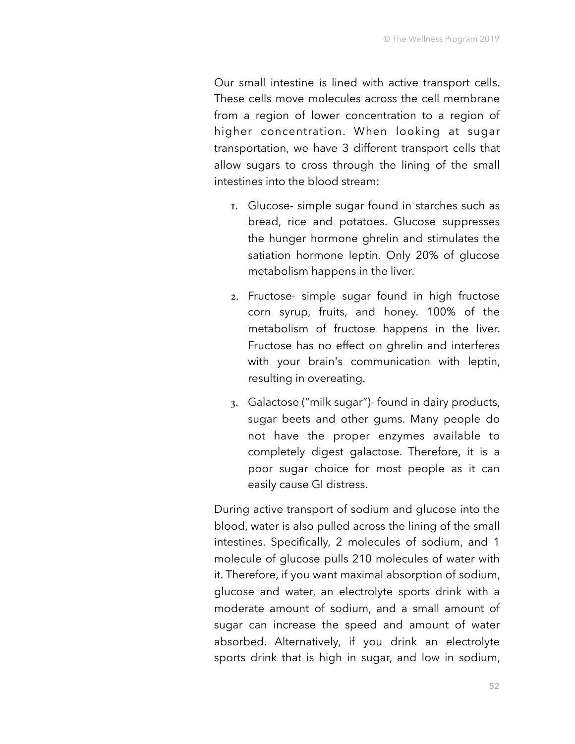Our small intestine is lined with active transport cells. These cells move molecules across the cell membrane from a region of lower concentration to a region of higher concentration. When looking at sugar transportation, we have 3 different transport cells that allow sugars to cross through the lining of the small intestines into the blood stream:

- 1. Glucose- simple sugar found in starches such as bread, rice and potatoes. Glucose suppresses the hunger hormone ghrelin and stimulates the satiation hormone leptin. Only 20% of glucose metabolism happens in the liver.
- 2. Fructose- simple sugar found in high fructose corn syrup, fruits, and honey. 100% of the metabolism of fructose happens in the liver. Fructose has no effect on ghrelin and interferes with your brain's communication with leptin, resulting in overeating.
- 3. Galactose ("milk sugar")- found in dairy products, sugar beets and other gums. Many people do not have the proper enzymes available to completely digest galactose. Therefore, it is a poor sugar choice for most people as it can easily cause GI distress.

During active transport of sodium and glucose into the blood, water is also pulled across the lining of the small intestines. Specifically, 2 molecules of sodium, and 1 molecule of glucose pulls 210 molecules of water with it. Therefore, if you want maximal absorption of sodium, glucose and water, an electrolyte sports drink with a moderate amount of sodium, and a small amount of sugar can increase the speed and amount of water absorbed. Alternatively, if you drink an electrolyte sports drink that is high in sugar, and low in sodium,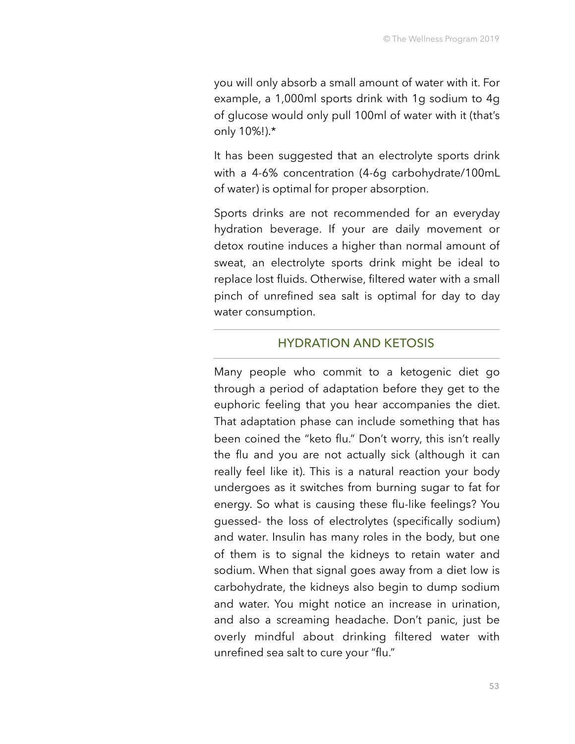you will only absorb a small amount of water with it. For example, a 1,000ml sports drink with 1g sodium to 4g of glucose would only pull 100ml of water with it (that's only 10%!).\*

It has been suggested that an electrolyte sports drink with a 4-6% concentration (4-6g carbohydrate/100mL of water) is optimal for proper absorption.

Sports drinks are not recommended for an everyday hydration beverage. If your are daily movement or detox routine induces a higher than normal amount of sweat, an electrolyte sports drink might be ideal to replace lost fluids. Otherwise, filtered water with a small pinch of unrefined sea salt is optimal for day to day water consumption.

#### HYDRATION AND KETOSIS

Many people who commit to a ketogenic diet go through a period of adaptation before they get to the euphoric feeling that you hear accompanies the diet. That adaptation phase can include something that has been coined the "keto flu." Don't worry, this isn't really the flu and you are not actually sick (although it can really feel like it). This is a natural reaction your body undergoes as it switches from burning sugar to fat for energy. So what is causing these flu-like feelings? You guessed- the loss of electrolytes (specifically sodium) and water. Insulin has many roles in the body, but one of them is to signal the kidneys to retain water and sodium. When that signal goes away from a diet low is carbohydrate, the kidneys also begin to dump sodium and water. You might notice an increase in urination, and also a screaming headache. Don't panic, just be overly mindful about drinking filtered water with unrefined sea salt to cure your "flu."